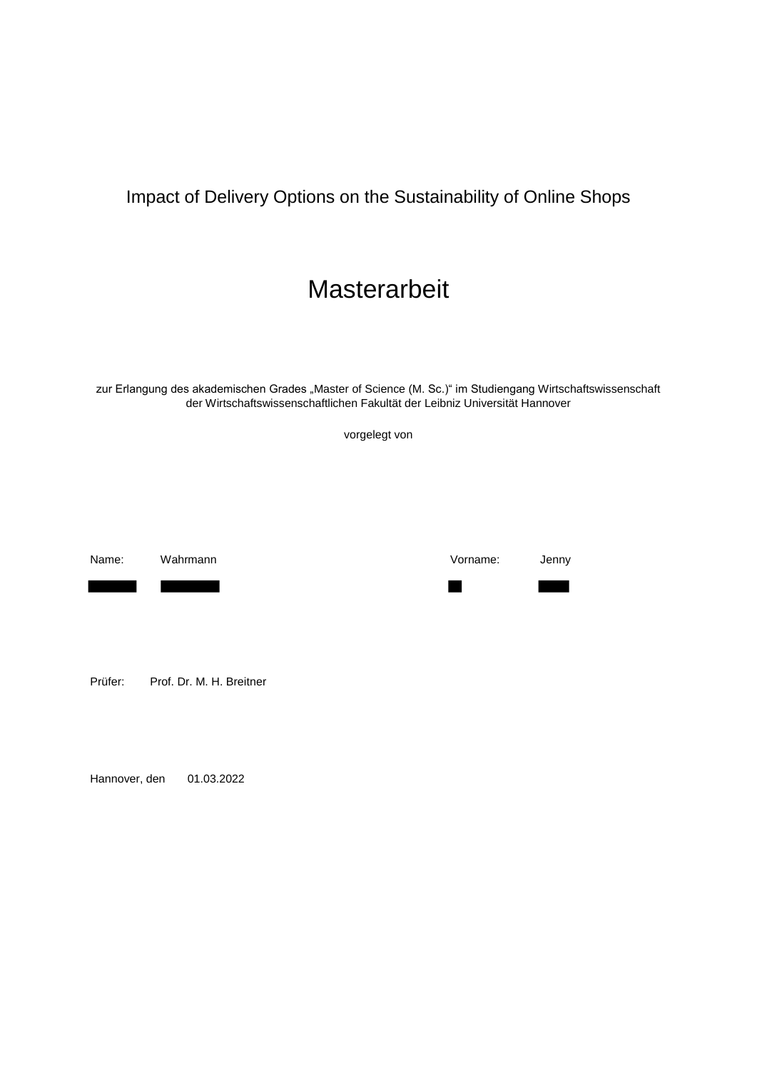## Impact of Delivery Options on the Sustainability of Online Shops

# **Masterarbeit**

zur Erlangung des akademischen Grades "Master of Science (M. Sc.)" im Studiengang Wirtschaftswissenschaft der Wirtschaftswissenschaftlichen Fakultät der Leibniz Universität Hannover

vorgelegt von

Prüfer: Prof. Dr. M. H. Breitner

Hannover, den 01.03.2022

Name: Wahrmann Vorname: Jenny

٦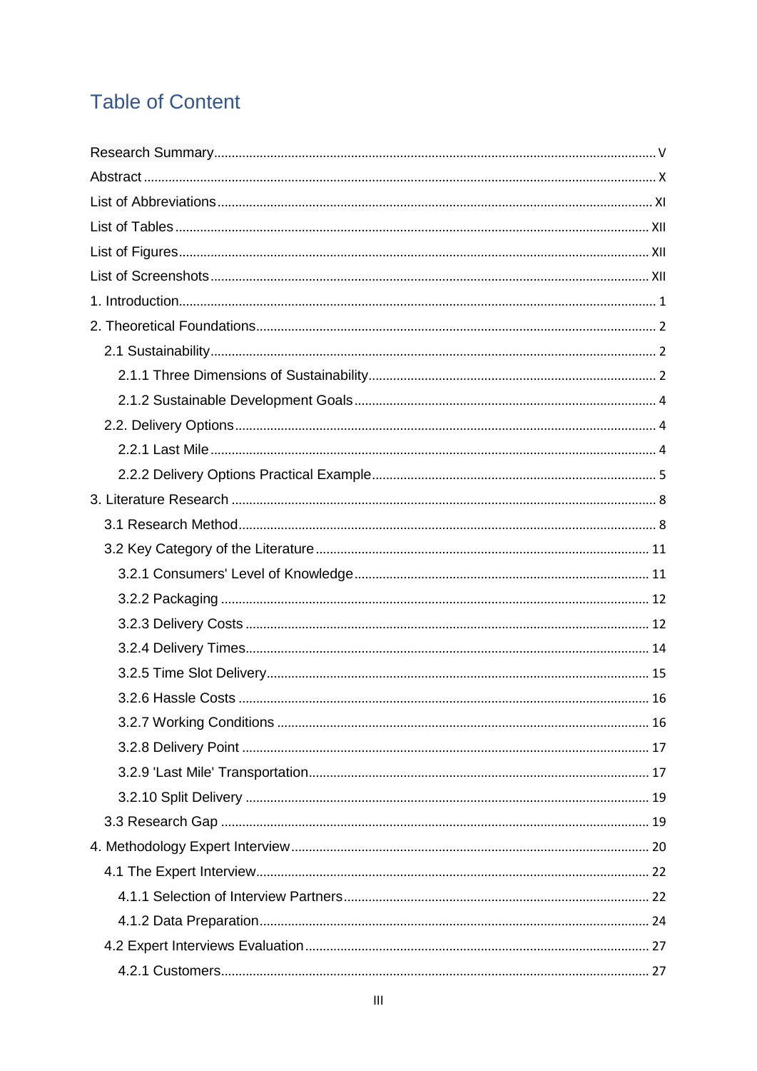# **Table of Content**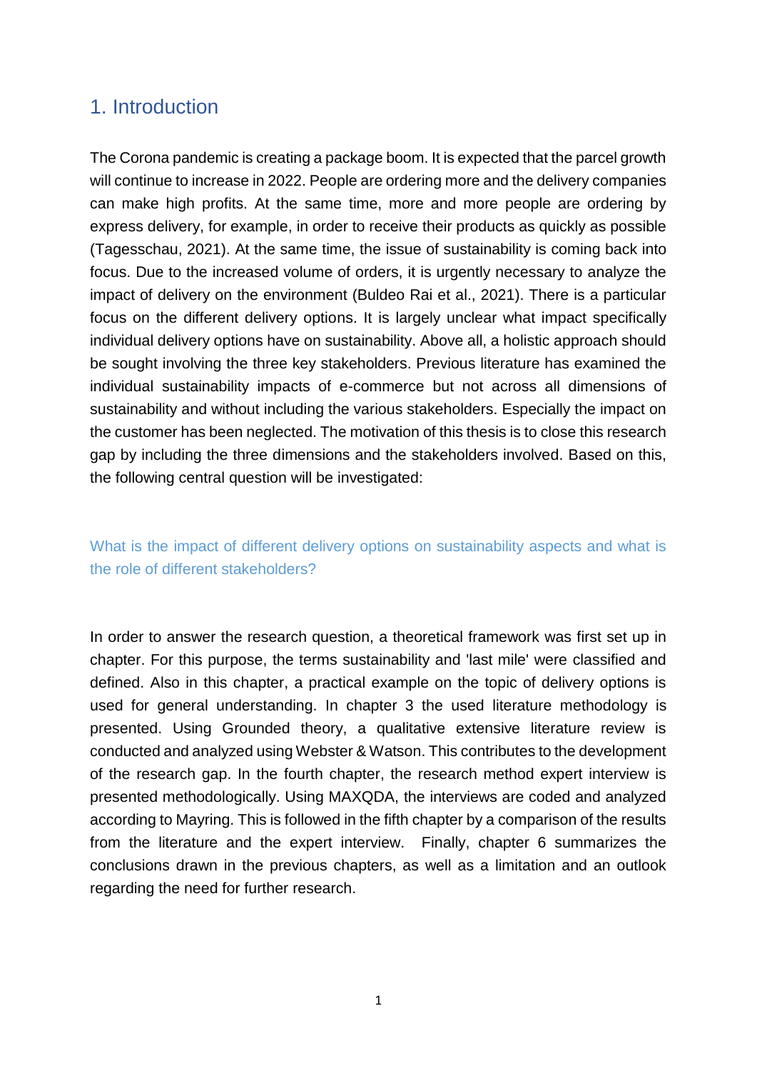#### <span id="page-3-0"></span>1. Introduction

The Corona pandemic is creating a package boom. It is expected that the parcel growth will continue to increase in 2022. People are ordering more and the delivery companies can make high profits. At the same time, more and more people are ordering by express delivery, for example, in order to receive their products as quickly as possible (Tagesschau, 2021). At the same time, the issue of sustainability is coming back into focus. Due to the increased volume of orders, it is urgently necessary to analyze the impact of delivery on the environment (Buldeo Rai et al., 2021). There is a particular focus on the different delivery options. It is largely unclear what impact specifically individual delivery options have on sustainability. Above all, a holistic approach should be sought involving the three key stakeholders. Previous literature has examined the individual sustainability impacts of e-commerce but not across all dimensions of sustainability and without including the various stakeholders. Especially the impact on the customer has been neglected. The motivation of this thesis is to close this research gap by including the three dimensions and the stakeholders involved. Based on this, the following central question will be investigated:

What is the impact of different delivery options on sustainability aspects and what is the role of different stakeholders?

In order to answer the research question, a theoretical framework was first set up in chapter. For this purpose, the terms sustainability and 'last mile' were classified and defined. Also in this chapter, a practical example on the topic of delivery options is used for general understanding. In chapter 3 the used literature methodology is presented. Using Grounded theory, a qualitative extensive literature review is conducted and analyzed using Webster & Watson. This contributes to the development of the research gap. In the fourth chapter, the research method expert interview is presented methodologically. Using MAXQDA, the interviews are coded and analyzed according to Mayring. This is followed in the fifth chapter by a comparison of the results from the literature and the expert interview. Finally, chapter 6 summarizes the conclusions drawn in the previous chapters, as well as a limitation and an outlook regarding the need for further research.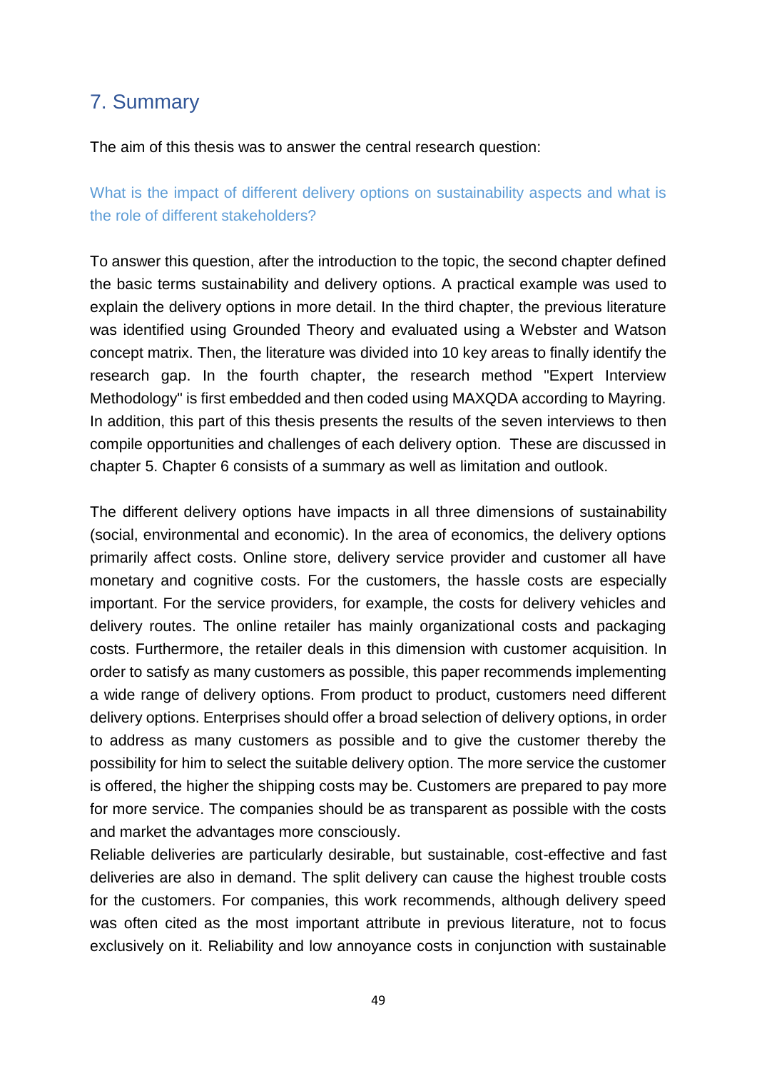### <span id="page-4-0"></span>7. Summary

The aim of this thesis was to answer the central research question:

What is the impact of different delivery options on sustainability aspects and what is the role of different stakeholders?

To answer this question, after the introduction to the topic, the second chapter defined the basic terms sustainability and delivery options. A practical example was used to explain the delivery options in more detail. In the third chapter, the previous literature was identified using Grounded Theory and evaluated using a Webster and Watson concept matrix. Then, the literature was divided into 10 key areas to finally identify the research gap. In the fourth chapter, the research method "Expert Interview Methodology" is first embedded and then coded using MAXQDA according to Mayring. In addition, this part of this thesis presents the results of the seven interviews to then compile opportunities and challenges of each delivery option. These are discussed in chapter 5. Chapter 6 consists of a summary as well as limitation and outlook.

The different delivery options have impacts in all three dimensions of sustainability (social, environmental and economic). In the area of economics, the delivery options primarily affect costs. Online store, delivery service provider and customer all have monetary and cognitive costs. For the customers, the hassle costs are especially important. For the service providers, for example, the costs for delivery vehicles and delivery routes. The online retailer has mainly organizational costs and packaging costs. Furthermore, the retailer deals in this dimension with customer acquisition. In order to satisfy as many customers as possible, this paper recommends implementing a wide range of delivery options. From product to product, customers need different delivery options. Enterprises should offer a broad selection of delivery options, in order to address as many customers as possible and to give the customer thereby the possibility for him to select the suitable delivery option. The more service the customer is offered, the higher the shipping costs may be. Customers are prepared to pay more for more service. The companies should be as transparent as possible with the costs and market the advantages more consciously.

Reliable deliveries are particularly desirable, but sustainable, cost-effective and fast deliveries are also in demand. The split delivery can cause the highest trouble costs for the customers. For companies, this work recommends, although delivery speed was often cited as the most important attribute in previous literature, not to focus exclusively on it. Reliability and low annoyance costs in conjunction with sustainable